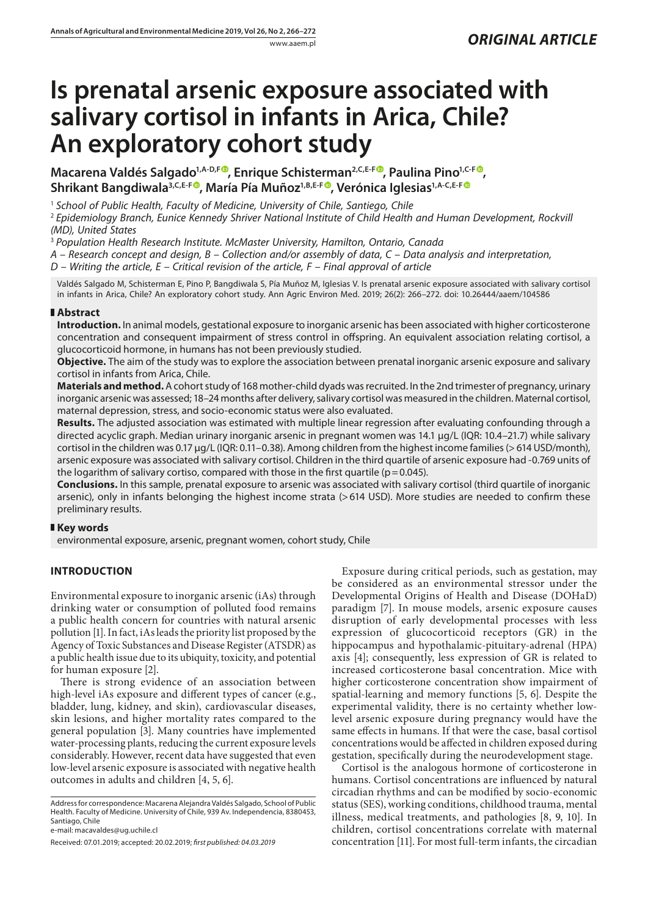# **Is prenatal arsenic exposure associated with salivary cortisol in infants in Arica, Chile? An exploratory cohort study**

**Macarena Valdés Salgado<sup>1[,](https://orcid.org/0000-0003-3757-641X)A-D,F®</sup>, Enrique Schisterman<sup>2,C,E-F®</sup>, Paulina Pino<sup>1,C-F®</sup>,** Shrikant Bangdiwala<sup>3[,](https://orcid.org/0000-0002-8541-7272) C, E-F<sup>®</sup>, María Pía Muñoz<sup>1, B, E-F®, Verónica Iglesias<sup>1, A-C, E-F®</sup></sup></sup>

<sup>1</sup> School of Public Health, Faculty of Medicine, University of Chile, Santiego, Chile

<sup>2</sup> *Epidemiology Branch, Eunice Kennedy Shriver National Institute of Child Health and Human Development, Rockvill (MD), United States*

<sup>3</sup> *Population Health Research Institute. McMaster University, Hamilton, Ontario, Canada*

*A – Research concept and design, B – Collection and/or assembly of data, C – Data analysis and interpretation,* 

*D – Writing the article, E – Critical revision of the article, F – Final approval of article*

Valdés Salgado M, Schisterman E, Pino P, Bangdiwala S, Pía Muñoz M, Iglesias V. Is prenatal arsenic exposure associated with salivary cortisol in infants in Arica, Chile? An exploratory cohort study. Ann Agric Environ Med. 2019; 26(2): 266–272. doi: 10.26444/aaem/104586

#### **Abstract**

**Introduction.** In animal models, gestational exposure to inorganic arsenic has been associated with higher corticosterone concentration and consequent impairment of stress control in offspring. An equivalent association relating cortisol, a glucocorticoid hormone, in humans has not been previously studied.

**Objective.** The aim of the study was to explore the association between prenatal inorganic arsenic exposure and salivary cortisol in infants from Arica, Chile.

**Materials and method.** A cohort study of 168 mother-child dyads was recruited. In the 2nd trimester of pregnancy, urinary inorganic arsenic was assessed; 18–24 months after delivery, salivary cortisol was measured in the children. Maternal cortisol, maternal depression, stress, and socio-economic status were also evaluated.

**Results.** The adjusted association was estimated with multiple linear regression after evaluating confounding through a directed acyclic graph. Median urinary inorganic arsenic in pregnant women was 14.1 µg/L (IQR: 10.4–21.7) while salivary cortisol in the children was 0.17 µg/L (IQR: 0.11–0.38). Among children from the highest income families (> 614 USD/month), arsenic exposure was associated with salivary cortisol. Children in the third quartile of arsenic exposure had -0.769 units of the logarithm of salivary cortiso, compared with those in the first quartile ( $p=0.045$ ).

**Conclusions.** In this sample, prenatal exposure to arsenic was associated with salivary cortisol (third quartile of inorganic arsenic), only in infants belonging the highest income strata (>614 USD). More studies are needed to confirm these preliminary results.

### **Key words**

environmental exposure, arsenic, pregnant women, cohort study, Chile

# **INTRODUCTION**

Environmental exposure to inorganic arsenic (iAs) through drinking water or consumption of polluted food remains a public health concern for countries with natural arsenic pollution [1]. In fact, iAs leads the priority list proposed by the Agency of Toxic Substances and Disease Register (ATSDR) as a public health issue due to its ubiquity, toxicity, and potential for human exposure [2].

There is strong evidence of an association between high-level iAs exposure and different types of cancer (e.g., bladder, lung, kidney, and skin), cardiovascular diseases, skin lesions, and higher mortality rates compared to the general population [3]. Many countries have implemented water-processing plants, reducing the current exposure levels considerably. However, recent data have suggested that even low-level arsenic exposure is associated with negative health outcomes in adults and children [4, 5, 6].

Address for correspondence: Macarena Alejandra Valdés Salgado, School of Public Health. Faculty of Medicine. University of Chile, 939 Av. Independencia, 8380453, Santiago, Chile

e-mail: macavaldes@ug.uchile.cl

Exposure during critical periods, such as gestation, may be considered as an environmental stressor under the Developmental Origins of Health and Disease (DOHaD) paradigm [7]. In mouse models, arsenic exposure causes disruption of early developmental processes with less expression of glucocorticoid receptors (GR) in the hippocampus and hypothalamic-pituitary-adrenal (HPA) axis [4]; consequently, less expression of GR is related to increased corticosterone basal concentration. Mice with higher corticosterone concentration show impairment of spatial-learning and memory functions [5, 6]. Despite the experimental validity, there is no certainty whether lowlevel arsenic exposure during pregnancy would have the same effects in humans. If that were the case, basal cortisol concentrations would be affected in children exposed during gestation, specifically during the neurodevelopment stage.

Cortisol is the analogous hormone of corticosterone in humans. Cortisol concentrations are influenced by natural circadian rhythms and can be modified by socio-economic status (SES), working conditions, childhood trauma, mental illness, medical treatments, and pathologies [8, 9, 10]. In children, cortisol concentrations correlate with maternal concentration [11]. For most full-term infants, the circadian

Received: 07.01.2019; accepted: 20.02.2019; *first published: 04.03.2019*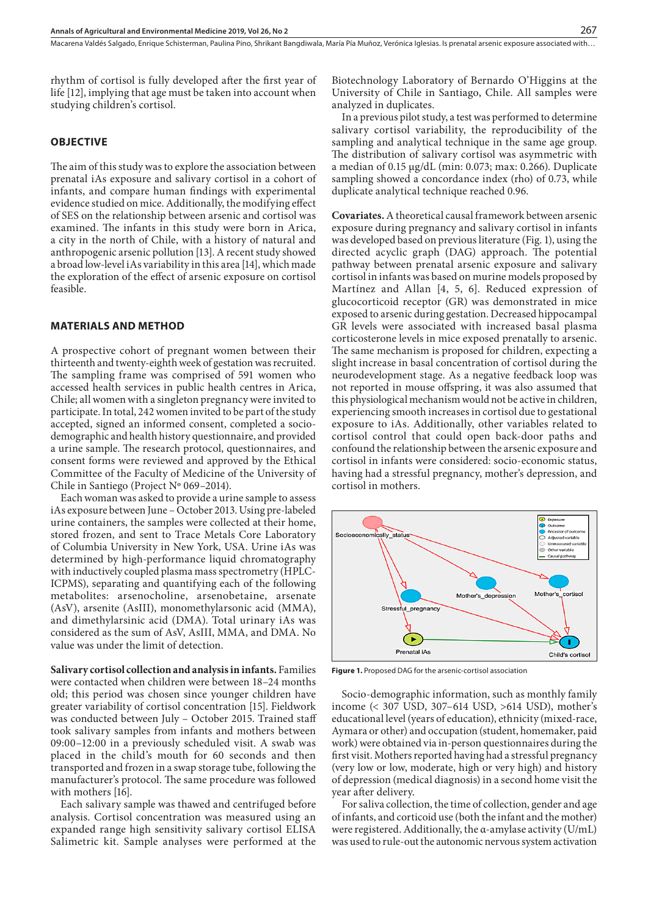rhythm of cortisol is fully developed after the first year of life [12], implying that age must be taken into account when studying children's cortisol.

## **OBJECTIVE**

The aim of this study was to explore the association between prenatal iAs exposure and salivary cortisol in a cohort of infants, and compare human findings with experimental evidence studied on mice. Additionally, the modifying effect of SES on the relationship between arsenic and cortisol was examined. The infants in this study were born in Arica, a city in the north of Chile, with a history of natural and anthropogenic arsenic pollution [13]. A recent study showed a broad low-level iAs variability in this area [14], which made the exploration of the effect of arsenic exposure on cortisol feasible.

#### **MATERIALS AND METHOD**

A prospective cohort of pregnant women between their thirteenth and twenty-eighth week of gestation was recruited. The sampling frame was comprised of 591 women who accessed health services in public health centres in Arica, Chile; all women with a singleton pregnancy were invited to participate. In total, 242 women invited to be part of the study accepted, signed an informed consent, completed a sociodemographic and health history questionnaire, and provided a urine sample. The research protocol, questionnaires, and consent forms were reviewed and approved by the Ethical Committee of the Faculty of Medicine of the University of Chile in Santiego (Project Nº 069–2014).

Each woman was asked to provide a urine sample to assess iAs exposure between June – October 2013. Using pre-labeled urine containers, the samples were collected at their home, stored frozen, and sent to Trace Metals Core Laboratory of Columbia University in New York, USA. Urine iAs was determined by high-performance liquid chromatography with inductively coupled plasma mass spectrometry (HPLC-ICPMS), separating and quantifying each of the following metabolites: arsenocholine, arsenobetaine, arsenate (AsV), arsenite (AsIII), monomethylarsonic acid (MMA), and dimethylarsinic acid (DMA). Total urinary iAs was considered as the sum of AsV, AsIII, MMA, and DMA. No value was under the limit of detection.

**Salivary cortisol collection and analysis in infants.** Families were contacted when children were between 18–24 months old; this period was chosen since younger children have greater variability of cortisol concentration [15]. Fieldwork was conducted between July – October 2015. Trained staff took salivary samples from infants and mothers between 09:00–12:00 in a previously scheduled visit. A swab was placed in the child's mouth for 60 seconds and then transported and frozen in a swap storage tube, following the manufacturer's protocol. The same procedure was followed with mothers [16].

Each salivary sample was thawed and centrifuged before analysis. Cortisol concentration was measured using an expanded range high sensitivity salivary cortisol ELISA Salimetric kit. Sample analyses were performed at the

Biotechnology Laboratory of Bernardo O'Higgins at the University of Chile in Santiago, Chile. All samples were analyzed in duplicates.

In a previous pilot study, a test was performed to determine salivary cortisol variability, the reproducibility of the sampling and analytical technique in the same age group. The distribution of salivary cortisol was asymmetric with a median of 0.15 µg/dL (min: 0.073; max: 0.266). Duplicate sampling showed a concordance index (rho) of 0.73, while duplicate analytical technique reached 0.96.

**Covariates.** A theoretical causal framework between arsenic exposure during pregnancy and salivary cortisol in infants was developed based on previous literature (Fig. 1), using the directed acyclic graph (DAG) approach. The potential pathway between prenatal arsenic exposure and salivary cortisol in infants was based on murine models proposed by Martínez and Allan [4, 5, 6]. Reduced expression of glucocorticoid receptor (GR) was demonstrated in mice exposed to arsenic during gestation. Decreased hippocampal GR levels were associated with increased basal plasma corticosterone levels in mice exposed prenatally to arsenic. The same mechanism is proposed for children, expecting a slight increase in basal concentration of cortisol during the neurodevelopment stage. As a negative feedback loop was not reported in mouse offspring, it was also assumed that this physiological mechanism would not be active in children, experiencing smooth increases in cortisol due to gestational exposure to iAs. Additionally, other variables related to cortisol control that could open back-door paths and confound the relationship between the arsenic exposure and cortisol in infants were considered: socio-economic status, having had a stressful pregnancy, mother's depression, and cortisol in mothers.



**Figure 1.** Proposed DAG for the arsenic-cortisol association

Socio-demographic information, such as monthly family income (< 307 USD, 307–614 USD, >614 USD), mother's educational level (years of education), ethnicity (mixed-race, Aymara or other) and occupation (student, homemaker, paid work) were obtained via in-person questionnaires during the first visit. Mothers reported having had a stressful pregnancy (very low or low, moderate, high or very high) and history of depression (medical diagnosis) in a second home visit the year after delivery.

For saliva collection, the time of collection, gender and age of infants, and corticoid use (both the infant and the mother) were registered. Additionally, the α-amylase activity (U/mL) was used to rule-out the autonomic nervous system activation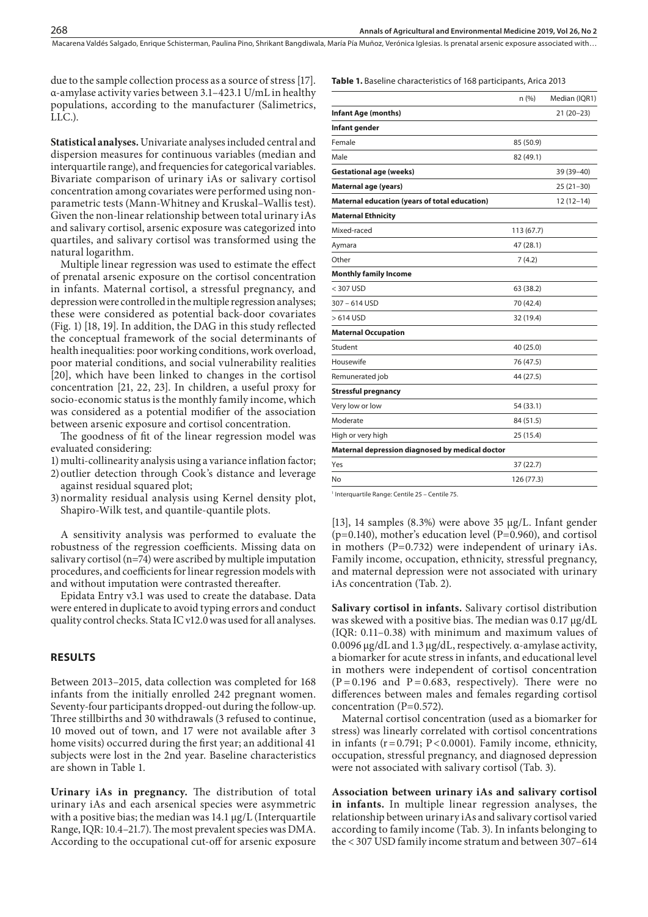Macarena Valdés Salgado, Enrique Schisterman, Paulina Pino, Shrikant Bangdiwala, María Pía Muñoz, Verónica Iglesias, Is prenatal arsenic exposure associated with...

due to the sample collection process as a source of stress [17]. α-amylase activity varies between 3.1–423.1 U/mL in healthy populations, according to the manufacturer (Salimetrics, LLC.).

**Statistical analyses.** Univariate analyses included central and dispersion measures for continuous variables (median and interquartile range), and frequencies for categorical variables. Bivariate comparison of urinary iAs or salivary cortisol concentration among covariates were performed using nonparametric tests (Mann-Whitney and Kruskal–Wallis test). Given the non-linear relationship between total urinary iAs and salivary cortisol, arsenic exposure was categorized into quartiles, and salivary cortisol was transformed using the natural logarithm.

Multiple linear regression was used to estimate the effect of prenatal arsenic exposure on the cortisol concentration in infants. Maternal cortisol, a stressful pregnancy, and depression were controlled in the multiple regression analyses; these were considered as potential back-door covariates (Fig. 1) [18, 19]. In addition, the DAG in this study reflected the conceptual framework of the social determinants of health inequalities: poor working conditions, work overload, poor material conditions, and social vulnerability realities [20], which have been linked to changes in the cortisol concentration [21, 22, 23]. In children, a useful proxy for socio-economic status is the monthly family income, which was considered as a potential modifier of the association between arsenic exposure and cortisol concentration.

The goodness of fit of the linear regression model was evaluated considering:

1) multi-collinearity analysis using a variance inflation factor;

- 2)outlier detection through Cook's distance and leverage against residual squared plot;
- 3)normality residual analysis using Kernel density plot, Shapiro-Wilk test, and quantile-quantile plots.

A sensitivity analysis was performed to evaluate the robustness of the regression coefficients. Missing data on salivary cortisol ( $n=74$ ) were ascribed by multiple imputation procedures, and coefficients for linear regression models with and without imputation were contrasted thereafter.

Epidata Entry v3.1 was used to create the database. Data were entered in duplicate to avoid typing errors and conduct quality control checks. Stata IC v12.0 was used for all analyses.

#### **RESULTS**

Between 2013–2015, data collection was completed for 168 infants from the initially enrolled 242 pregnant women. Seventy-four participants dropped-out during the follow-up. Three stillbirths and 30 withdrawals (3 refused to continue, 10 moved out of town, and 17 were not available after 3 home visits) occurred during the first year; an additional 41 subjects were lost in the 2nd year. Baseline characteristics are shown in Table 1.

**Urinary iAs in pregnancy.** The distribution of total urinary iAs and each arsenical species were asymmetric with a positive bias; the median was 14.1 µg/L (Interquartile Range, IQR: 10.4–21.7). The most prevalent species was DMA. According to the occupational cut-off for arsenic exposure

**Table 1.** Baseline characteristics of 168 participants, Arica 2013

|                                                 | n(%)       | Median (IQR1) |
|-------------------------------------------------|------------|---------------|
| <b>Infant Age (months)</b>                      |            | $21(20-23)$   |
| Infant gender                                   |            |               |
| Female                                          | 85 (50.9)  |               |
| Male                                            | 82 (49.1)  |               |
| <b>Gestational age (weeks)</b>                  |            | 39 (39-40)    |
| <b>Maternal age (years)</b>                     |            | $25(21-30)$   |
| Maternal education (years of total education)   |            | $12(12-14)$   |
| <b>Maternal Ethnicity</b>                       |            |               |
| Mixed-raced                                     | 113 (67.7) |               |
| Aymara                                          | 47 (28.1)  |               |
| Other                                           | 7(4.2)     |               |
| <b>Monthly family Income</b>                    |            |               |
| $<$ 307 USD                                     | 63 (38.2)  |               |
| 307-614 USD                                     | 70 (42.4)  |               |
| > 614 USD                                       | 32 (19.4)  |               |
| <b>Maternal Occupation</b>                      |            |               |
| Student                                         | 40 (25.0)  |               |
| Housewife                                       | 76 (47.5)  |               |
| Remunerated job                                 | 44 (27.5)  |               |
| <b>Stressful pregnancy</b>                      |            |               |
| Very low or low                                 | 54 (33.1)  |               |
| Moderate                                        | 84 (51.5)  |               |
| High or very high                               | 25 (15.4)  |               |
| Maternal depression diagnosed by medical doctor |            |               |
| Yes                                             | 37 (22.7)  |               |
| No                                              | 126 (77.3) |               |

1 Interquartile Range: Centile 25 – Centile 75.

[13], 14 samples (8.3%) were above 35 µg/L. Infant gender (p=0.140), mother's education level (P=0.960), and cortisol in mothers (P=0.732) were independent of urinary iAs. Family income, occupation, ethnicity, stressful pregnancy, and maternal depression were not associated with urinary iAs concentration (Tab. 2).

**Salivary cortisol in infants.** Salivary cortisol distribution was skewed with a positive bias. The median was 0.17 µg/dL (IQR: 0.11–0.38) with minimum and maximum values of 0.0096 µg/dL and 1.3 µg/dL, respectively. α-amylase activity, a biomarker for acute stress in infants, and educational level in mothers were independent of cortisol concentration  $(P = 0.196$  and  $P = 0.683$ , respectively). There were no differences between males and females regarding cortisol concentration (P=0.572).

Maternal cortisol concentration (used as a biomarker for stress) was linearly correlated with cortisol concentrations in infants  $(r=0.791; P<0.0001)$ . Family income, ethnicity, occupation, stressful pregnancy, and diagnosed depression were not associated with salivary cortisol (Tab. 3).

**Association between urinary iAs and salivary cortisol in infants.** In multiple linear regression analyses, the relationship between urinary iAs and salivary cortisol varied according to family income (Tab. 3). In infants belonging to the < 307 USD family income stratum and between 307–614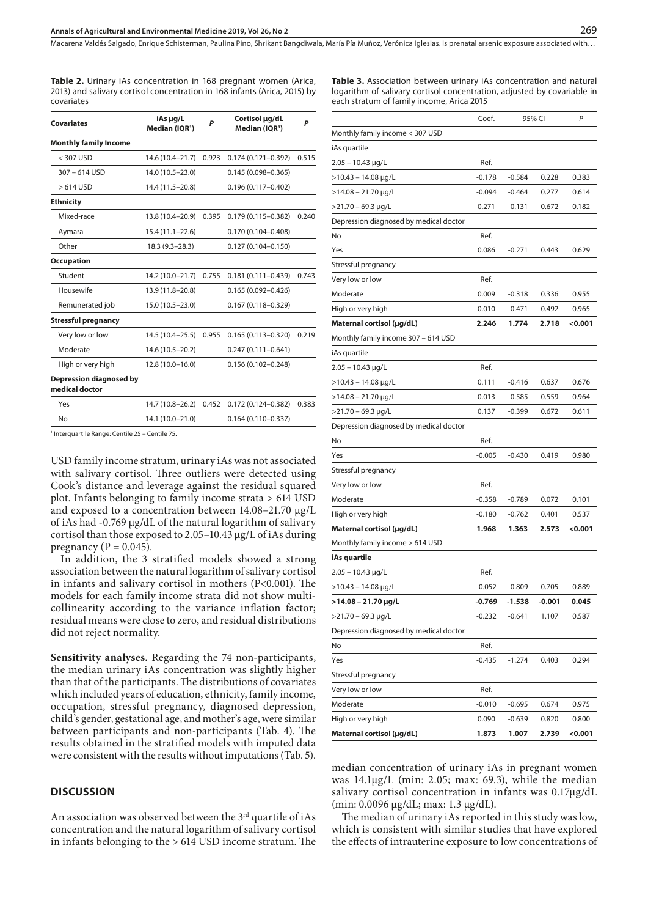Macarena Valdés Salgado, Enrique Schisterman, Paulina Pino, Shrikant Bangdiwala, María Pía Muñoz, Verónica Iglesias . Is prenatal arsenic exposure associated with…

**Table 2.** Urinary iAs concentration in 168 pregnant women (Arica, 2013) and salivary cortisol concentration in 168 infants (Arica, 2015) by covariates

| <b>Covariates</b>                                | iAs µg/L<br>Median (IOR <sup>1</sup> ) | P     | Cortisol µg/dL<br>Median (IOR <sup>1</sup> ) | P     |  |
|--------------------------------------------------|----------------------------------------|-------|----------------------------------------------|-------|--|
| <b>Monthly family Income</b>                     |                                        |       |                                              |       |  |
| $<$ 307 USD                                      | 14.6 (10.4-21.7)                       | 0.923 | $0.174(0.121 - 0.392)$                       | 0.515 |  |
| $307 - 614$ USD                                  | 14.0 (10.5 - 23.0)                     |       | $0.145(0.098 - 0.365)$                       |       |  |
| $>614$ USD                                       | 14.4 (11.5-20.8)                       |       | $0.196(0.117 - 0.402)$                       |       |  |
| <b>Ethnicity</b>                                 |                                        |       |                                              |       |  |
| Mixed-race                                       | 13.8 (10.4-20.9)                       | 0.395 | 0.179 (0.115-0.382)                          | 0.240 |  |
| Aymara                                           | $15.4(11.1 - 22.6)$                    |       | 0.170 (0.104-0.408)                          |       |  |
| Other                                            | 18.3 (9.3-28.3)                        |       | $0.127(0.104 - 0.150)$                       |       |  |
| <b>Occupation</b>                                |                                        |       |                                              |       |  |
| Student                                          | 14.2 (10.0-21.7)                       | 0.755 | $0.181(0.111 - 0.439)$                       | 0.743 |  |
| Housewife                                        | 13.9 (11.8-20.8)                       |       | $0.165(0.092 - 0.426)$                       |       |  |
| Remunerated job                                  | 15.0 (10.5-23.0)                       |       | $0.167(0.118 - 0.329)$                       |       |  |
| <b>Stressful pregnancy</b>                       |                                        |       |                                              |       |  |
| Very low or low                                  | 14.5 (10.4-25.5)                       | 0.955 | $0.165(0.113 - 0.320)$                       | 0.219 |  |
| Moderate                                         | 14.6 (10.5 - 20.2)                     |       | $0.247(0.111 - 0.641)$                       |       |  |
| High or very high                                | $12.8(10.0 - 16.0)$                    |       | $0.156(0.102 - 0.248)$                       |       |  |
| <b>Depression diagnosed by</b><br>medical doctor |                                        |       |                                              |       |  |
| Yes                                              | 14.7 (10.8-26.2)                       | 0.452 | $0.172(0.124 - 0.382)$                       | 0.383 |  |
| No                                               | 14.1 (10.0-21.0)                       |       | $0.164(0.110 - 0.337)$                       |       |  |

1 Interquartile Range: Centile 25 – Centile 75.

USD family income stratum, urinary iAs was not associated with salivary cortisol. Three outliers were detected using Cook's distance and leverage against the residual squared plot. Infants belonging to family income strata > 614 USD and exposed to a concentration between 14.08–21.70 μg/L of iAs had -0.769 μg/dL of the natural logarithm of salivary cortisol than those exposed to 2.05–10.43 μg/L of iAs during pregnancy ( $P = 0.045$ ).

In addition, the 3 stratified models showed a strong association between the natural logarithm of salivary cortisol in infants and salivary cortisol in mothers (P<0.001). The models for each family income strata did not show multicollinearity according to the variance inflation factor; residual means were close to zero, and residual distributions did not reject normality.

**Sensitivity analyses.** Regarding the 74 non-participants, the median urinary iAs concentration was slightly higher than that of the participants. The distributions of covariates which included years of education, ethnicity, family income, occupation, stressful pregnancy, diagnosed depression, child's gender, gestational age, and mother's age, were similar between participants and non-participants (Tab. 4). The results obtained in the stratified models with imputed data were consistent with the results without imputations (Tab. 5).

#### **DISCUSSION**

An association was observed between the  $3^{\rm rd}$  quartile of iAs concentration and the natural logarithm of salivary cortisol in infants belonging to the > 614 USD income stratum. The **Table 3.** Association between urinary iAs concentration and natural logarithm of salivary cortisol concentration, adjusted by covariable in each stratum of family income, Arica 2015

|                                        | Coef.    | 95% CI   |          | Ρ       |
|----------------------------------------|----------|----------|----------|---------|
| Monthly family income < 307 USD        |          |          |          |         |
| iAs quartile                           |          |          |          |         |
| $2.05 - 10.43$ µg/L                    | Ref.     |          |          |         |
| >10.43 – 14.08 μg/L                    | $-0.178$ | $-0.584$ | 0.228    | 0.383   |
| >14.08 – 21.70 μg/L                    | $-0.094$ | $-0.464$ | 0.277    | 0.614   |
| $>$ 21.70 - 69.3 µg/L                  | 0.271    | $-0.131$ | 0.672    | 0.182   |
| Depression diagnosed by medical doctor |          |          |          |         |
| No                                     | Ref.     |          |          |         |
| Yes                                    | 0.086    | $-0.271$ | 0.443    | 0.629   |
| Stressful pregnancy                    |          |          |          |         |
| Very low or low                        | Ref.     |          |          |         |
| Moderate                               | 0.009    | $-0.318$ | 0.336    | 0.955   |
| High or very high                      | 0.010    | -0.471   | 0.492    | 0.965   |
| Maternal cortisol (µg/dL)              | 2.246    | 1.774    | 2.718    | < 0.001 |
| Monthly family income 307 - 614 USD    |          |          |          |         |
| iAs quartile                           |          |          |          |         |
| 2.05 – 10.43 µg/L                      | Ref.     |          |          |         |
| $>$ 10.43 - 14.08 µg/L                 | 0.111    | $-0.416$ | 0.637    | 0.676   |
| >14.08 – 21.70 μg/L                    | 0.013    | $-0.585$ | 0.559    | 0.964   |
| $>$ 21.70 – 69.3 µg/L                  | 0.137    | $-0.399$ | 0.672    | 0.611   |
| Depression diagnosed by medical doctor |          |          |          |         |
| No                                     | Ref.     |          |          |         |
| Yes                                    | $-0.005$ | $-0.430$ | 0.419    | 0.980   |
| Stressful pregnancy                    |          |          |          |         |
| Very low or low                        | Ref.     |          |          |         |
| Moderate                               | $-0.358$ | $-0.789$ | 0.072    | 0.101   |
| High or very high                      | $-0.180$ | $-0.762$ | 0.401    | 0.537   |
| Maternal cortisol (µg/dL)              | 1.968    | 1.363    | 2.573    | <0.001  |
| Monthly family income > 614 USD        |          |          |          |         |
| iAs quartile                           |          |          |          |         |
| 2.05 – 10.43 µg/L                      | Ref.     |          |          |         |
| >10.43 - 14.08 μg/L                    | $-0.052$ | $-0.809$ | 0.705    | 0.889   |
| >14.08 - 21.70 μg/L                    | $-0.769$ | $-1.538$ | $-0.001$ | 0.045   |
| >21.70 - 69.3 µg/L                     | $-0.232$ | $-0.641$ | 1.107    | 0.587   |
| Depression diagnosed by medical doctor |          |          |          |         |
| No                                     | Ref.     |          |          |         |
| Yes                                    | $-0.435$ | $-1.274$ | 0.403    | 0.294   |
| Stressful pregnancy                    |          |          |          |         |
| Very low or low                        | Ref.     |          |          |         |
| Moderate                               | $-0.010$ | $-0.695$ | 0.674    | 0.975   |
| High or very high                      | 0.090    | $-0.639$ | 0.820    | 0.800   |
| Maternal cortisol (µg/dL)              | 1.873    | 1.007    | 2.739    | < 0.001 |

median concentration of urinary iAs in pregnant women was 14.1µg/L (min: 2.05; max: 69.3), while the median salivary cortisol concentration in infants was 0.17µg/dL (min: 0.0096 µg/dL; max: 1.3 µg/dL).

The median of urinary iAs reported in this study was low, which is consistent with similar studies that have explored the effects of intrauterine exposure to low concentrations of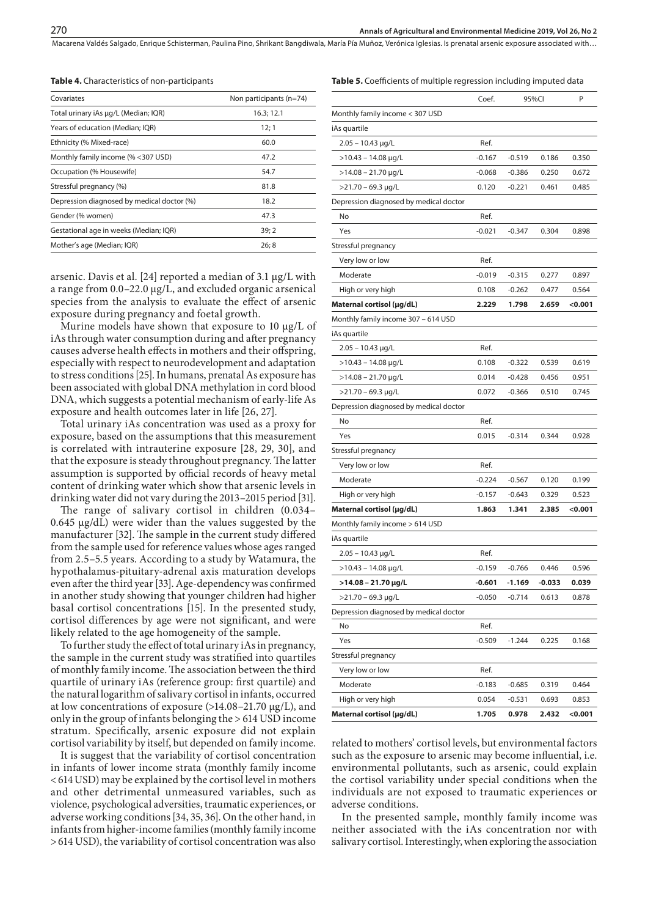**Table 5.** Coefficients of multiple regression including imputed data

Macarena Valdés Salgado, Enrique Schisterman, Paulina Pino, Shrikant Bangdiwala, María Pía Muñoz, Verónica Iglesias, Is prenatal arsenic exposure associated with...

**Table 4.** Characteristics of non-participants

| Covariates                                 | Non participants (n=74) |  |  |
|--------------------------------------------|-------------------------|--|--|
| Total urinary iAs µg/L (Median; IQR)       | 16.3; 12.1              |  |  |
| Years of education (Median; IQR)           | 12; 1                   |  |  |
| Ethnicity (% Mixed-race)                   | 60.0                    |  |  |
| Monthly family income (% <307 USD)         | 47.2                    |  |  |
| Occupation (% Housewife)                   | 54.7                    |  |  |
| Stressful pregnancy (%)                    | 81.8                    |  |  |
| Depression diagnosed by medical doctor (%) | 18.2                    |  |  |
| Gender (% women)                           | 47.3                    |  |  |
| Gestational age in weeks (Median; IQR)     | 39; 2                   |  |  |
| Mother's age (Median; IQR)                 | 26;8                    |  |  |
|                                            |                         |  |  |

arsenic. Davis et al. [24] reported a median of 3.1 μg/L with a range from 0.0–22.0 μg/L, and excluded organic arsenical species from the analysis to evaluate the effect of arsenic exposure during pregnancy and foetal growth.

Murine models have shown that exposure to 10 μg/L of iAs through water consumption during and after pregnancy causes adverse health effects in mothers and their offspring, especially with respect to neurodevelopment and adaptation to stress conditions [25]. In humans, prenatal As exposure has been associated with global DNA methylation in cord blood DNA, which suggests a potential mechanism of early-life As exposure and health outcomes later in life [26, 27].

Total urinary iAs concentration was used as a proxy for exposure, based on the assumptions that this measurement is correlated with intrauterine exposure [28, 29, 30], and that the exposure is steady throughout pregnancy. The latter assumption is supported by official records of heavy metal content of drinking water which show that arsenic levels in drinking water did not vary during the 2013–2015 period [31].

The range of salivary cortisol in children (0.034– 0.645 µg/dL) were wider than the values suggested by the manufacturer [32]. The sample in the current study differed from the sample used for reference values whose ages ranged from 2.5–5.5 years. According to a study by Watamura, the hypothalamus-pituitary-adrenal axis maturation develops even after the third year [33]. Age-dependency was confirmed in another study showing that younger children had higher basal cortisol concentrations [15]. In the presented study, cortisol differences by age were not significant, and were likely related to the age homogeneity of the sample.

To further study the effect of total urinary iAs in pregnancy, the sample in the current study was stratified into quartiles of monthly family income. The association between the third quartile of urinary iAs (reference group: first quartile) and the natural logarithm of salivary cortisol in infants, occurred at low concentrations of exposure (>14.08–21.70 μg/L), and only in the group of infants belonging the > 614 USD income stratum. Specifically, arsenic exposure did not explain cortisol variability by itself, but depended on family income.

It is suggest that the variability of cortisol concentration in infants of lower income strata (monthly family income <614USD) may be explained by the cortisol level in mothers and other detrimental unmeasured variables, such as violence, psychological adversities, traumatic experiences, or adverse working conditions [34, 35, 36]. On the other hand, in infants from higher-income families (monthly family income >614 USD), the variability of cortisol concentration was also

|                                        | Coef.    |          | 95%Cl    | Ρ       |
|----------------------------------------|----------|----------|----------|---------|
| Monthly family income < 307 USD        |          |          |          |         |
| iAs quartile                           |          |          |          |         |
| $2.05 - 10.43 \mu g/L$                 | Ref.     |          |          |         |
| >10.43 – 14.08 μg/L                    | $-0.167$ | $-0.519$ | 0.186    | 0.350   |
| $>$ 14.08 - 21.70 µg/L                 | $-0.068$ | $-0.386$ | 0.250    | 0.672   |
| >21.70 - 69.3 µg/L                     | 0.120    | $-0.221$ | 0.461    | 0.485   |
| Depression diagnosed by medical doctor |          |          |          |         |
| No                                     | Ref.     |          |          |         |
| Yes                                    | $-0.021$ | $-0.347$ | 0.304    | 0.898   |
| Stressful pregnancy                    |          |          |          |         |
| Very low or low                        | Ref.     |          |          |         |
| Moderate                               | $-0.019$ | $-0.315$ | 0.277    | 0.897   |
| High or very high                      | 0.108    | $-0.262$ | 0.477    | 0.564   |
| Maternal cortisol (µg/dL)              | 2.229    | 1.798    | 2.659    | < 0.001 |
| Monthly family income 307 - 614 USD    |          |          |          |         |
| iAs quartile                           |          |          |          |         |
| $2.05 - 10.43$ µg/L                    | Ref.     |          |          |         |
| $>$ 10.43 - 14.08 µg/L                 | 0.108    | $-0.322$ | 0.539    | 0.619   |
| >14.08 – 21.70 μg/L                    | 0.014    | -0.428   | 0.456    | 0.951   |
| >21.70 - 69.3 µg/L                     | 0.072    | $-0.366$ | 0.510    | 0.745   |
| Depression diagnosed by medical doctor |          |          |          |         |
| No                                     | Ref.     |          |          |         |
| Yes                                    | 0.015    | $-0.314$ | 0.344    | 0.928   |
| Stressful pregnancy                    |          |          |          |         |
| Very low or low                        | Ref.     |          |          |         |
| Moderate                               | $-0.224$ | $-0.567$ | 0.120    | 0.199   |
| High or very high                      | $-0.157$ | $-0.643$ | 0.329    | 0.523   |
| Maternal cortisol (µg/dL)              | 1.863    | 1.341    | 2.385    | < 0.001 |
| Monthly family income > 614 USD        |          |          |          |         |
| iAs quartile                           |          |          |          |         |
| $2.05 - 10.43$ µg/L                    | Ref.     |          |          |         |
| >10.43 – 14.08 μg/L                    | $-0.159$ | $-0.766$ | 0.446    | 0.596   |
| >14.08 – 21.70 μg/L                    | $-0.601$ | -1.169   | $-0.033$ | 0.039   |
| >21.70 - 69.3 µg/L                     | $-0.050$ | $-0.714$ | 0.613    | 0.878   |
| Depression diagnosed by medical doctor |          |          |          |         |
| No                                     | Ref.     |          |          |         |
| Yes                                    | $-0.509$ | $-1.244$ | 0.225    | 0.168   |
| Stressful pregnancy                    |          |          |          |         |
| Very low or low                        | Ref.     |          |          |         |
| Moderate                               | $-0.183$ | $-0.685$ | 0.319    | 0.464   |
| High or very high                      | 0.054    | -0.531   | 0.693    | 0.853   |
| Maternal cortisol (µg/dL)              | 1.705    | 0.978    | 2.432    | < 0.001 |

related to mothers' cortisol levels, but environmental factors such as the exposure to arsenic may become influential, i.e. environmental pollutants, such as arsenic, could explain the cortisol variability under special conditions when the individuals are not exposed to traumatic experiences or adverse conditions.

In the presented sample, monthly family income was neither associated with the iAs concentration nor with salivary cortisol. Interestingly, when exploring the association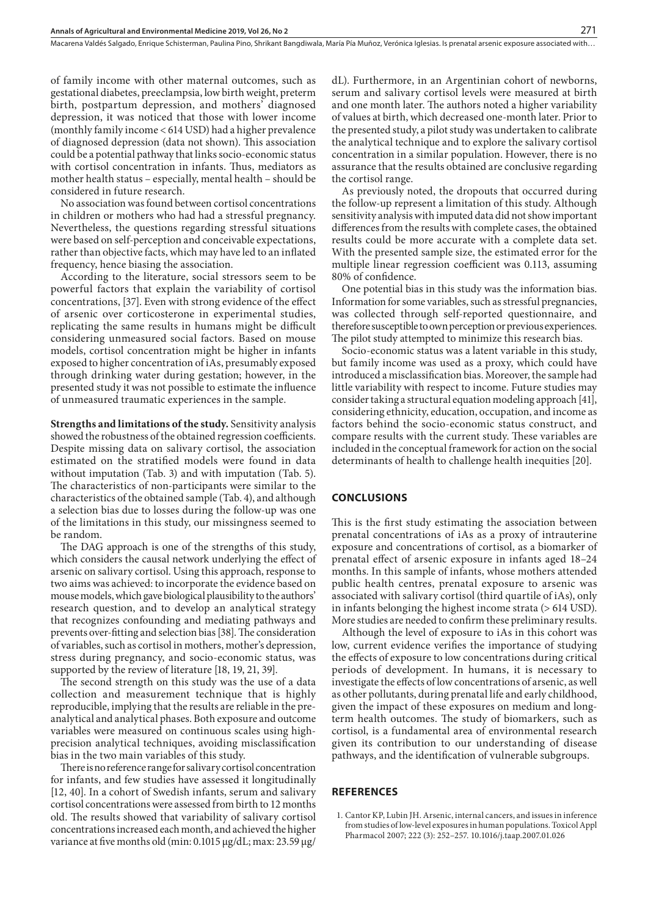of family income with other maternal outcomes, such as gestational diabetes, preeclampsia, low birth weight, preterm birth, postpartum depression, and mothers' diagnosed depression, it was noticed that those with lower income (monthly family income < 614 USD) had a higher prevalence of diagnosed depression (data not shown). This association could be a potential pathway that links socio-economic status with cortisol concentration in infants. Thus, mediators as mother health status – especially, mental health – should be considered in future research.

No association was found between cortisol concentrations in children or mothers who had had a stressful pregnancy. Nevertheless, the questions regarding stressful situations were based on self-perception and conceivable expectations, rather than objective facts, which may have led to an inflated frequency, hence biasing the association.

According to the literature, social stressors seem to be powerful factors that explain the variability of cortisol concentrations, [37]. Even with strong evidence of the effect of arsenic over corticosterone in experimental studies, replicating the same results in humans might be difficult considering unmeasured social factors. Based on mouse models, cortisol concentration might be higher in infants exposed to higher concentration of iAs, presumably exposed through drinking water during gestation; however, in the presented study it was not possible to estimate the influence of unmeasured traumatic experiences in the sample.

**Strengths and limitations of the study.** Sensitivity analysis showed the robustness of the obtained regression coefficients. Despite missing data on salivary cortisol, the association estimated on the stratified models were found in data without imputation (Tab. 3) and with imputation (Tab. 5). The characteristics of non-participants were similar to the characteristics of the obtained sample (Tab. 4), and although a selection bias due to losses during the follow-up was one of the limitations in this study, our missingness seemed to be random.

The DAG approach is one of the strengths of this study, which considers the causal network underlying the effect of arsenic on salivary cortisol. Using this approach, response to two aims was achieved: to incorporate the evidence based on mouse models, which gave biological plausibility to the authors' research question, and to develop an analytical strategy that recognizes confounding and mediating pathways and prevents over-fitting and selection bias [38]. The consideration of variables, such as cortisol in mothers, mother's depression, stress during pregnancy, and socio-economic status, was supported by the review of literature [18, 19, 21, 39].

The second strength on this study was the use of a data collection and measurement technique that is highly reproducible, implying that the results are reliable in the preanalytical and analytical phases. Both exposure and outcome variables were measured on continuous scales using highprecision analytical techniques, avoiding misclassification bias in the two main variables of this study.

There is no reference range for salivary cortisol concentration for infants, and few studies have assessed it longitudinally [12, 40]. In a cohort of Swedish infants, serum and salivary cortisol concentrations were assessed from birth to 12 months old. The results showed that variability of salivary cortisol concentrations increased each month, and achieved the higher variance at five months old (min: 0.1015 µg/dL; max: 23.59 µg/

dL). Furthermore, in an Argentinian cohort of newborns, serum and salivary cortisol levels were measured at birth and one month later. The authors noted a higher variability of values at birth, which decreased one-month later. Prior to the presented study, a pilot study was undertaken to calibrate the analytical technique and to explore the salivary cortisol concentration in a similar population. However, there is no assurance that the results obtained are conclusive regarding the cortisol range.

As previously noted, the dropouts that occurred during the follow-up represent a limitation of this study. Although sensitivity analysis with imputed data did not show important differences from the results with complete cases, the obtained results could be more accurate with a complete data set. With the presented sample size, the estimated error for the multiple linear regression coefficient was 0.113, assuming 80% of confidence.

One potential bias in this study was the information bias. Information for some variables, such as stressful pregnancies, was collected through self-reported questionnaire, and therefore susceptible to own perception or previous experiences. The pilot study attempted to minimize this research bias.

Socio-economic status was a latent variable in this study, but family income was used as a proxy, which could have introduced a misclassification bias. Moreover, the sample had little variability with respect to income. Future studies may consider taking a structural equation modeling approach [41], considering ethnicity, education, occupation, and income as factors behind the socio-economic status construct, and compare results with the current study. These variables are included in the conceptual framework for action on the social determinants of health to challenge health inequities [20].

#### **CONCLUSIONS**

This is the first study estimating the association between prenatal concentrations of iAs as a proxy of intrauterine exposure and concentrations of cortisol, as a biomarker of prenatal effect of arsenic exposure in infants aged 18–24 months. In this sample of infants, whose mothers attended public health centres, prenatal exposure to arsenic was associated with salivary cortisol (third quartile of iAs), only in infants belonging the highest income strata (> 614 USD). More studies are needed to confirm these preliminary results.

Although the level of exposure to iAs in this cohort was low, current evidence verifies the importance of studying the effects of exposure to low concentrations during critical periods of development. In humans, it is necessary to investigate the effects of low concentrations of arsenic, as well as other pollutants, during prenatal life and early childhood, given the impact of these exposures on medium and longterm health outcomes. The study of biomarkers, such as cortisol, is a fundamental area of environmental research given its contribution to our understanding of disease pathways, and the identification of vulnerable subgroups.

#### **REFERENCES**

1. Cantor KP, Lubin JH. Arsenic, internal cancers, and issues in inference from studies of low-level exposures in human populations. Toxicol Appl Pharmacol 2007; 222 (3): 252–257. 10.1016/j.taap.2007.01.026